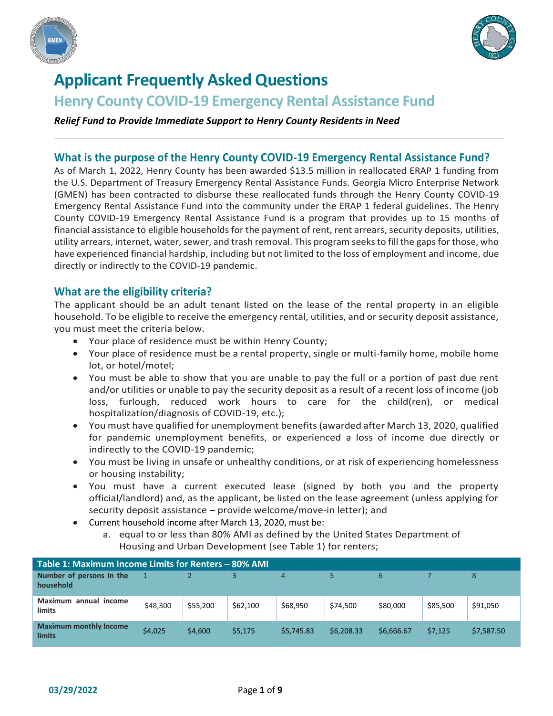



# **Applicant Frequently Asked Questions**

## **Henry County COVID-19 Emergency Rental Assistance Fund**

*Relief Fund to Provide Immediate Support to Henry County Residents in Need*

#### **What is the purpose of the Henry County COVID-19 Emergency Rental Assistance Fund?**

As of March 1, 2022, Henry County has been awarded \$13.5 million in reallocated ERAP 1 funding from the U.S. Department of Treasury Emergency Rental Assistance Funds. Georgia Micro Enterprise Network (GMEN) has been contracted to disburse these reallocated funds through the Henry County COVID-19 Emergency Rental Assistance Fund into the community under the ERAP 1 federal guidelines. The Henry County COVID-19 Emergency Rental Assistance Fund is a program that provides up to 15 months of financial assistance to eligible households for the payment of rent, rent arrears, security deposits, utilities, utility arrears, internet, water, sewer, and trash removal. This program seeks to fill the gaps for those, who have experienced financial hardship, including but not limited to the loss of employment and income, due directly or indirectly to the COVID-19 pandemic.

#### **What are the eligibility criteria?**

The applicant should be an adult tenant listed on the lease of the rental property in an eligible household. To be eligible to receive the emergency rental, utilities, and or security deposit assistance, you must meet the criteria below.

- Your place of residence must be within Henry County;
- Your place of residence must be a rental property, single or multi-family home, mobile home lot, or hotel/motel;
- You must be able to show that you are unable to pay the full or a portion of past due rent and/or utilities or unable to pay the security deposit as a result of a recent loss of income (job loss, furlough, reduced work hours to care for the child(ren), or medical hospitalization/diagnosis of COVID-19, etc.);
- You must have qualified for unemployment benefits (awarded after March 13, 2020, qualified for pandemic unemployment benefits, or experienced a loss of income due directly or indirectly to the COVID-19 pandemic;
- You must be living in unsafe or unhealthy conditions, or at risk of experiencing homelessness or housing instability;
- You must have a current executed lease (signed by both you and the property official/landlord) and, as the applicant, be listed on the lease agreement (unless applying for security deposit assistance – provide welcome/move-in letter); and
- Current household income after March 13, 2020, must be:
	- a. equal to or less than 80% AMI as defined by the United States Department of Housing and Urban Development (see Table 1) for renters;

| Table 1: Maximum Income Limits for Renters - 80% AMI |          |          |          |            |            |            |          |            |  |  |  |  |
|------------------------------------------------------|----------|----------|----------|------------|------------|------------|----------|------------|--|--|--|--|
| Number of persons in the<br>household                |          |          |          | 4          |            | 6          |          | 8          |  |  |  |  |
| Maximum<br>annual income<br>limits                   | \$48,300 | \$55,200 | \$62,100 | \$68,950   | \$74,500   | \$80,000   | \$85,500 | \$91,050   |  |  |  |  |
| <b>Maximum monthly Income</b><br>limits              | \$4,025  | \$4,600  | \$5,175  | \$5,745.83 | \$6,208.33 | \$6.666.67 | \$7.125  | \$7,587.50 |  |  |  |  |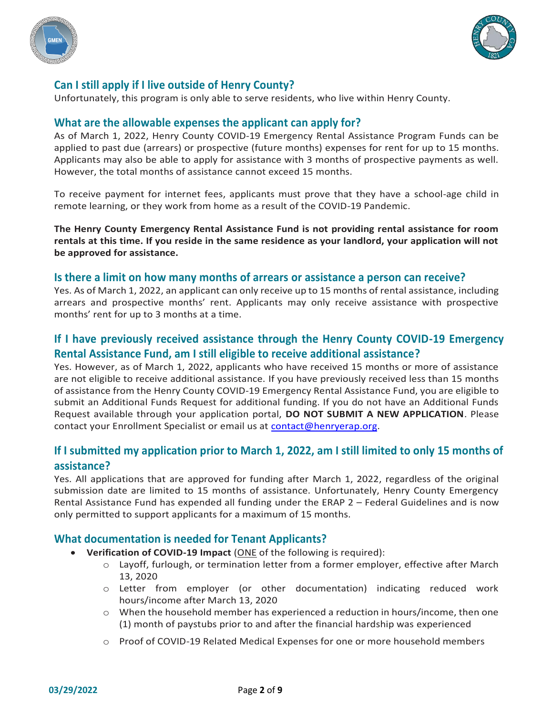



## **Can I still apply if I live outside of Henry County?**

Unfortunately, this program is only able to serve residents, who live within Henry County.

## **What are the allowable expenses the applicant can apply for?**

As of March 1, 2022, Henry County COVID-19 Emergency Rental Assistance Program Funds can be applied to past due (arrears) or prospective (future months) expenses for rent for up to 15 months. Applicants may also be able to apply for assistance with 3 months of prospective payments as well. However, the total months of assistance cannot exceed 15 months.

To receive payment for internet fees, applicants must prove that they have a school-age child in remote learning, or they work from home as a result of the COVID-19 Pandemic.

**The Henry County Emergency Rental Assistance Fund is not providing rental assistance for room rentals at this time. If you reside in the same residence as your landlord, your application will not be approved for assistance.**

#### **Is there a limit on how many months of arrears or assistance a person can receive?**

Yes. As of March 1, 2022, an applicant can only receive up to 15 months of rental assistance, including arrears and prospective months' rent. Applicants may only receive assistance with prospective months' rent for up to 3 months at a time.

## **If I have previously received assistance through the Henry County COVID-19 Emergency Rental Assistance Fund, am I still eligible to receive additional assistance?**

Yes. However, as of March 1, 2022, applicants who have received 15 months or more of assistance are not eligible to receive additional assistance. If you have previously received less than 15 months of assistance from the Henry County COVID-19 Emergency Rental Assistance Fund, you are eligible to submit an Additional Funds Request for additional funding. If you do not have an Additional Funds Request available through your application portal, **DO NOT SUBMIT A NEW APPLICATION**. Please contact your Enrollment Specialist or email us at contact@henryerap.org.

## **If I submitted my application prior to March 1, 2022, am I still limited to only 15 months of assistance?**

Yes. All applications that are approved for funding after March 1, 2022, regardless of the original submission date are limited to 15 months of assistance. Unfortunately, Henry County Emergency Rental Assistance Fund has expended all funding under the ERAP 2 – Federal Guidelines and is now only permitted to support applicants for a maximum of 15 months.

#### **What documentation is needed for Tenant Applicants?**

- **Verification of COVID-19 Impact** (ONE of the following is required):
	- o Layoff, furlough, or termination letter from a former employer, effective after March 13, 2020
	- o Letter from employer (or other documentation) indicating reduced work hours/income after March 13, 2020
	- $\circ$  When the household member has experienced a reduction in hours/income, then one (1) month of paystubs prior to and after the financial hardship was experienced
	- o Proof of COVID-19 Related Medical Expenses for one or more household members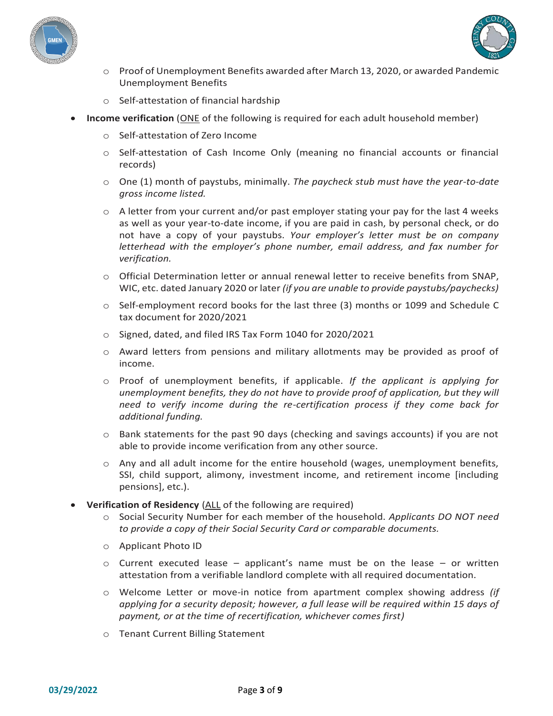



- $\circ$  Proof of Unemployment Benefits awarded after March 13, 2020, or awarded Pandemic Unemployment Benefits
- o Self-attestation of financial hardship
- **Income verification** (ONE of the following is required for each adult household member)
	- o Self-attestation of Zero Income
	- o Self-attestation of Cash Income Only (meaning no financial accounts or financial records)
	- o One (1) month of paystubs, minimally. *The paycheck stub must have the year-to-date gross income listed.*
	- $\circ$  A letter from your current and/or past employer stating your pay for the last 4 weeks as well as your year-to-date income, if you are paid in cash, by personal check, or do not have a copy of your paystubs. *Your employer's letter must be on company letterhead with the employer's phone number, email address, and fax number for verification.*
	- $\circ$  Official Determination letter or annual renewal letter to receive benefits from SNAP, WIC, etc. dated January 2020 or later *(if you are unable to provide paystubs/paychecks)*
	- $\circ$  Self-employment record books for the last three (3) months or 1099 and Schedule C tax document for 2020/2021
	- o Signed, dated, and filed IRS Tax Form 1040 for 2020/2021
	- o Award letters from pensions and military allotments may be provided as proof of income.
	- o Proof of unemployment benefits, if applicable. *If the applicant is applying for unemployment benefits, they do not have to provide proof of application, but they will need to verify income during the re-certification process if they come back for additional funding.*
	- $\circ$  Bank statements for the past 90 days (checking and savings accounts) if you are not able to provide income verification from any other source.
	- $\circ$  Any and all adult income for the entire household (wages, unemployment benefits, SSI, child support, alimony, investment income, and retirement income [including pensions], etc.).
- **Verification of Residency** (ALL of the following are required)
	- o Social Security Number for each member of the household. *Applicants DO NOT need to provide a copy of their Social Security Card or comparable documents.*
	- o Applicant Photo ID
	- $\circ$  Current executed lease applicant's name must be on the lease or written attestation from a verifiable landlord complete with all required documentation.
	- o Welcome Letter or move-in notice from apartment complex showing address *(if applying for a security deposit; however, a full lease will be required within 15 days of payment, or at the time of recertification, whichever comes first)*
	- o Tenant Current Billing Statement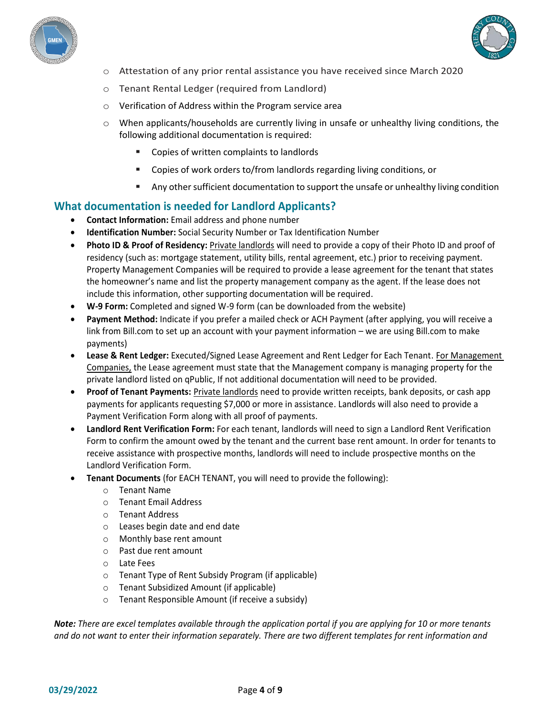



- $\circ$  Attestation of any prior rental assistance you have received since March 2020
- o Tenant Rental Ledger (required from Landlord)
- o Verification of Address within the Program service area
- $\circ$  When applicants/households are currently living in unsafe or unhealthy living conditions, the following additional documentation is required:
	- Copies of written complaints to landlords
	- Copies of work orders to/from landlords regarding living conditions, or
	- **■** Any other sufficient documentation to support the unsafe or unhealthy living condition

## **What documentation is needed for Landlord Applicants?**

- **Contact Information:** Email address and phone number
- **Identification Number:** Social Security Number or Tax Identification Number
- **Photo ID & Proof of Residency:** Private landlords will need to provide a copy of their Photo ID and proof of residency (such as: mortgage statement, utility bills, rental agreement, etc.) prior to receiving payment. Property Management Companies will be required to provide a lease agreement for the tenant that states the homeowner's name and list the property management company as the agent. If the lease does not include this information, other supporting documentation will be required.
- **W-9 Form:** Completed and signed W-9 form (can be downloaded from the website)
- **Payment Method:** Indicate if you prefer a mailed check or ACH Payment (after applying, you will receive a link from Bill.com to set up an account with your payment information – we are using Bill.com to make payments)
- **Lease & Rent Ledger:** Executed/Signed Lease Agreement and Rent Ledger for Each Tenant. For Management Companies, the Lease agreement must state that the Management company is managing property for the private landlord listed on qPublic, If not additional documentation will need to be provided.
- **Proof of Tenant Payments:** Private landlords need to provide written receipts, bank deposits, or cash app payments for applicants requesting \$7,000 or more in assistance. Landlords will also need to provide a Payment Verification Form along with all proof of payments.
- **Landlord Rent Verification Form:** For each tenant, landlords will need to sign a Landlord Rent Verification Form to confirm the amount owed by the tenant and the current base rent amount. In order for tenants to receive assistance with prospective months, landlords will need to include prospective months on the Landlord Verification Form.
- **Tenant Documents** (for EACH TENANT, you will need to provide the following):
	- o Tenant Name
	- o Tenant Email Address
	- o Tenant Address
	- o Leases begin date and end date
	- o Monthly base rent amount
	- o Past due rent amount
	- o Late Fees
	- o Tenant Type of Rent Subsidy Program (if applicable)
	- o Tenant Subsidized Amount (if applicable)
	- o Tenant Responsible Amount (if receive a subsidy)

*Note: There are excel templates available through the application portal if you are applying for 10 or more tenants and do not want to enter their information separately. There are two different templates for rent information and*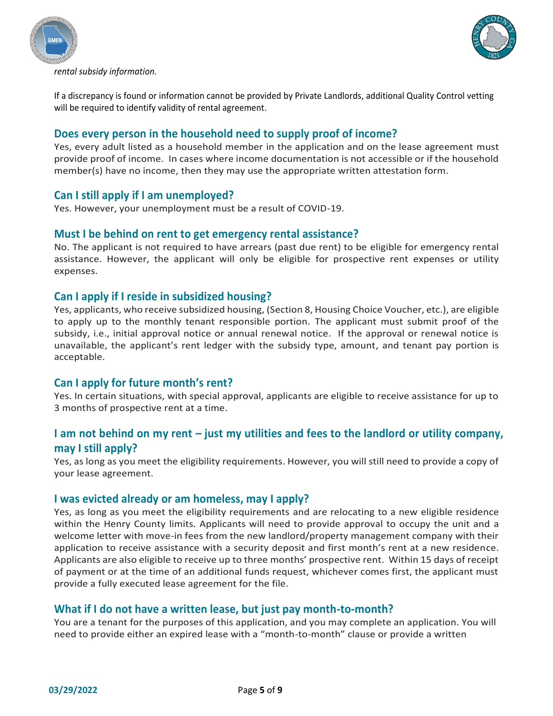



*rental subsidy information.*

If a discrepancy is found or information cannot be provided by Private Landlords, additional Quality Control vetting will be required to identify validity of rental agreement.

#### **Does every person in the household need to supply proof of income?**

Yes, every adult listed as a household member in the application and on the lease agreement must provide proof of income. In cases where income documentation is not accessible or if the household member(s) have no income, then they may use the appropriate written attestation form.

#### **Can I still apply if I am unemployed?**

Yes. However, your unemployment must be a result of COVID-19.

#### **Must I be behind on rent to get emergency rental assistance?**

No. The applicant is not required to have arrears (past due rent) to be eligible for emergency rental assistance. However, the applicant will only be eligible for prospective rent expenses or utility expenses.

#### **Can I apply if I reside in subsidized housing?**

Yes, applicants, who receive subsidized housing, (Section 8, Housing Choice Voucher, etc.), are eligible to apply up to the monthly tenant responsible portion. The applicant must submit proof of the subsidy, i.e., initial approval notice or annual renewal notice. If the approval or renewal notice is unavailable, the applicant's rent ledger with the subsidy type, amount, and tenant pay portion is acceptable.

#### **Can I apply for future month's rent?**

Yes. In certain situations, with special approval, applicants are eligible to receive assistance for up to 3 months of prospective rent at a time.

## **I am not behind on my rent – just my utilities and fees to the landlord or utility company, may I still apply?**

Yes, as long as you meet the eligibility requirements. However, you will still need to provide a copy of your lease agreement.

#### **I was evicted already or am homeless, may I apply?**

Yes, as long as you meet the eligibility requirements and are relocating to a new eligible residence within the Henry County limits. Applicants will need to provide approval to occupy the unit and a welcome letter with move-in fees from the new landlord/property management company with their application to receive assistance with a security deposit and first month's rent at a new residence. Applicants are also eligible to receive up to three months' prospective rent. Within 15 days of receipt of payment or at the time of an additional funds request, whichever comes first, the applicant must provide a fully executed lease agreement for the file.

#### **What if I do not have a written lease, but just pay month-to-month?**

You are a tenant for the purposes of this application, and you may complete an application. You will need to provide either an expired lease with a "month-to-month" clause or provide a written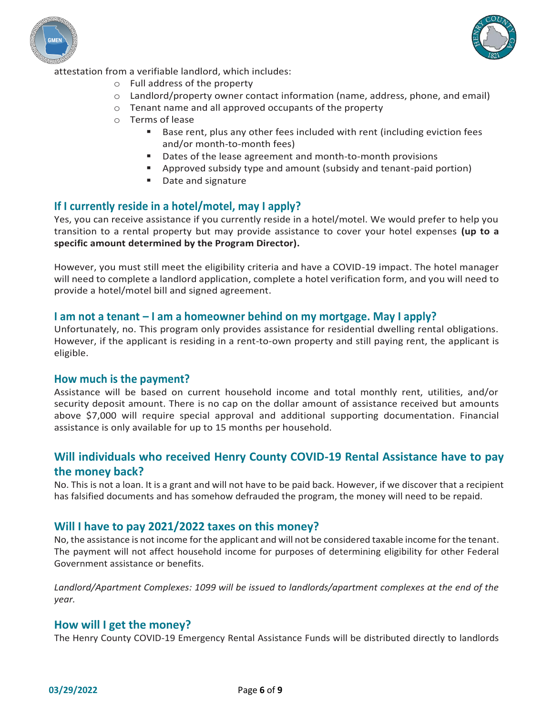



attestation from a verifiable landlord, which includes:

- o Full address of the property
- $\circ$  Landlord/property owner contact information (name, address, phone, and email)
- o Tenant name and all approved occupants of the property
- o Terms of lease
	- Base rent, plus any other fees included with rent (including eviction fees and/or month-to-month fees)
	- Dates of the lease agreement and month-to-month provisions
	- Approved subsidy type and amount (subsidy and tenant-paid portion)
	- Date and signature

#### **If I currently reside in a hotel/motel, may I apply?**

Yes, you can receive assistance if you currently reside in a hotel/motel. We would prefer to help you transition to a rental property but may provide assistance to cover your hotel expenses **(up to a specific amount determined by the Program Director).**

However, you must still meet the eligibility criteria and have a COVID-19 impact. The hotel manager will need to complete a landlord application, complete a hotel verification form, and you will need to provide a hotel/motel bill and signed agreement.

#### **I am not a tenant – I am a homeowner behind on my mortgage. May I apply?**

Unfortunately, no. This program only provides assistance for residential dwelling rental obligations. However, if the applicant is residing in a rent-to-own property and still paying rent, the applicant is eligible.

#### **How much is the payment?**

Assistance will be based on current household income and total monthly rent, utilities, and/or security deposit amount. There is no cap on the dollar amount of assistance received but amounts above \$7,000 will require special approval and additional supporting documentation. Financial assistance is only available for up to 15 months per household.

## **Will individuals who received Henry County COVID-19 Rental Assistance have to pay the money back?**

No. This is not a loan. It is a grant and will not have to be paid back. However, if we discover that a recipient has falsified documents and has somehow defrauded the program, the money will need to be repaid.

#### **Will I have to pay 2021/2022 taxes on this money?**

No, the assistance is not income for the applicant and will not be considered taxable income for the tenant. The payment will not affect household income for purposes of determining eligibility for other Federal Government assistance or benefits.

Landlord/Apartment Complexes: 1099 will be issued to landlords/apartment complexes at the end of the *year.*

#### **How will I get the money?**

The Henry County COVID-19 Emergency Rental Assistance Funds will be distributed directly to landlords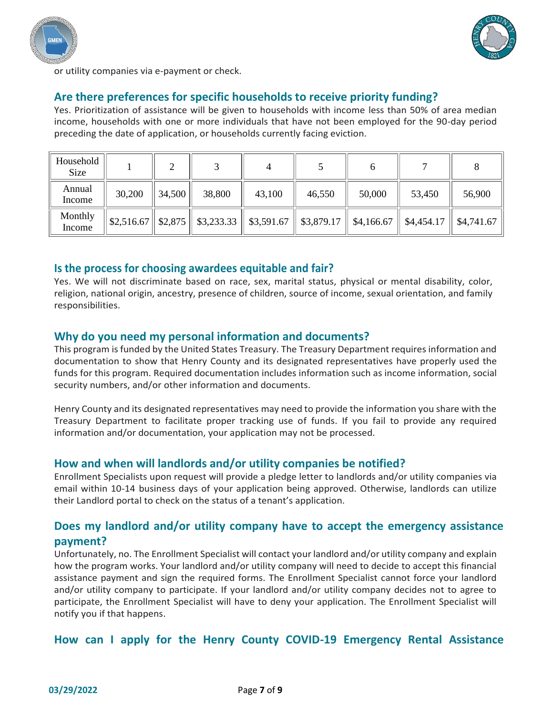



or utility companies via e-payment or check.

## **Are there preferences for specific households to receive priority funding?**

Yes. Prioritization of assistance will be given to households with income less than 50% of area median income, households with one or more individuals that have not been employed for the 90-day period preceding the date of application, or households currently facing eviction.

| Household<br>Size |        | ◠      |                                                                                              |        |        |        |                        |            |
|-------------------|--------|--------|----------------------------------------------------------------------------------------------|--------|--------|--------|------------------------|------------|
| Annual<br>Income  | 30,200 | 34,500 | 38,800                                                                                       | 43,100 | 46,550 | 50,000 | 53,450                 | 56,900     |
| Monthly<br>Income |        |        | $\ $ \$2,516.67 $\ $ \$2,875 $\ $ \$3,233.33 $\ $ \$3,591.67 $\ $ \$3,879.17 $\ $ \$4,166.67 |        |        |        | $\parallel$ \$4,454.17 | \$4,741.67 |

#### **Is the process for choosing awardees equitable and fair?**

Yes. We will not discriminate based on race, sex, marital status, physical or mental disability, color, religion, national origin, ancestry, presence of children, source of income, sexual orientation, and family responsibilities.

#### **Why do you need my personal information and documents?**

This program is funded by the United States Treasury. The Treasury Department requires information and documentation to show that Henry County and its designated representatives have properly used the funds for this program. Required documentation includes information such as income information, social security numbers, and/or other information and documents.

Henry County and its designated representatives may need to provide the information you share with the Treasury Department to facilitate proper tracking use of funds. If you fail to provide any required information and/or documentation, your application may not be processed.

#### **How and when will landlords and/or utility companies be notified?**

Enrollment Specialists upon request will provide a pledge letter to landlords and/or utility companies via email within 10-14 business days of your application being approved. Otherwise, landlords can utilize their Landlord portal to check on the status of a tenant's application.

## **Does my landlord and/or utility company have to accept the emergency assistance payment?**

Unfortunately, no. The Enrollment Specialist will contact your landlord and/or utility company and explain how the program works. Your landlord and/or utility company will need to decide to accept this financial assistance payment and sign the required forms. The Enrollment Specialist cannot force your landlord and/or utility company to participate. If your landlord and/or utility company decides not to agree to participate, the Enrollment Specialist will have to deny your application. The Enrollment Specialist will notify you if that happens.

#### **How can I apply for the Henry County COVID-19 Emergency Rental Assistance**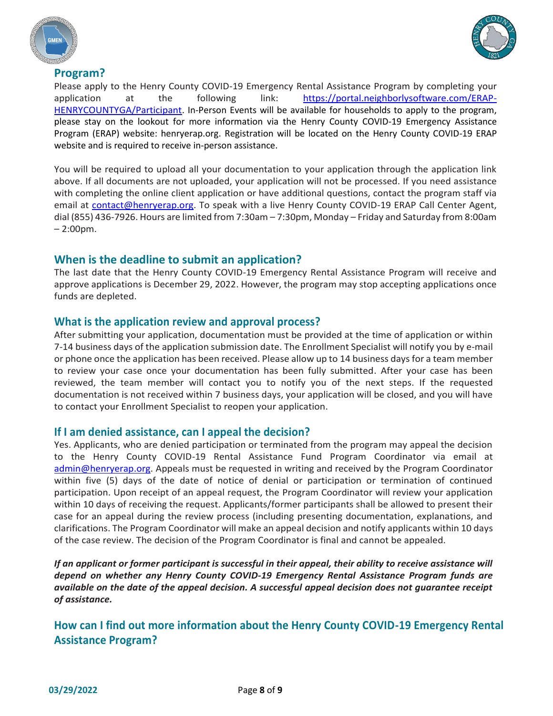





Please apply to the Henry County COVID-19 Emergency Rental Assistance Program by completing your application at the following link: https://portal.neighborlysoftware.com/ERAP-HENRYCOUNTYGA/Participant. In-Person Events will be available for households to apply to the program, please stay on the lookout for more information via the Henry County COVID-19 Emergency Assistance Program (ERAP) website: henryerap.org. Registration will be located on the Henry County COVID-19 ERAP website and is required to receive in-person assistance.

You will be required to upload all your documentation to your application through the application link above. If all documents are not uploaded, your application will not be processed. If you need assistance with completing the online client application or have additional questions, contact the program staff via email at contact@henryerap.org. To speak with a live Henry County COVID-19 ERAP Call Center Agent, dial (855) 436-7926. Hours are limited from 7:30am – 7:30pm, Monday – Friday and Saturday from 8:00am – 2:00pm.

## **When is the deadline to submit an application?**

The last date that the Henry County COVID-19 Emergency Rental Assistance Program will receive and approve applications is December 29, 2022. However, the program may stop accepting applications once funds are depleted.

#### **What is the application review and approval process?**

After submitting your application, documentation must be provided at the time of application or within 7-14 business days of the application submission date. The Enrollment Specialist will notify you by e-mail or phone once the application has been received. Please allow up to 14 business days for a team member to review your case once your documentation has been fully submitted. After your case has been reviewed, the team member will contact you to notify you of the next steps. If the requested documentation is not received within 7 business days, your application will be closed, and you will have to contact your Enrollment Specialist to reopen your application.

#### **If I am denied assistance, can I appeal the decision?**

Yes. Applicants, who are denied participation or terminated from the program may appeal the decision to the Henry County COVID-19 Rental Assistance Fund Program Coordinator via email at admin@henryerap.org. Appeals must be requested in writing and received by the Program Coordinator within five (5) days of the date of notice of denial or participation or termination of continued participation. Upon receipt of an appeal request, the Program Coordinator will review your application within 10 days of receiving the request. Applicants/former participants shall be allowed to present their case for an appeal during the review process (including presenting documentation, explanations, and clarifications. The Program Coordinator will make an appeal decision and notify applicants within 10 days of the case review. The decision of the Program Coordinator is final and cannot be appealed.

*If an applicant or former participant is successful in their appeal, their ability to receive assistance will depend on whether any Henry County COVID-19 Emergency Rental Assistance Program funds are available on the date of the appeal decision. A successful appeal decision does not guarantee receipt of assistance.*

**How can I find out more information about the Henry County COVID-19 Emergency Rental Assistance Program?**